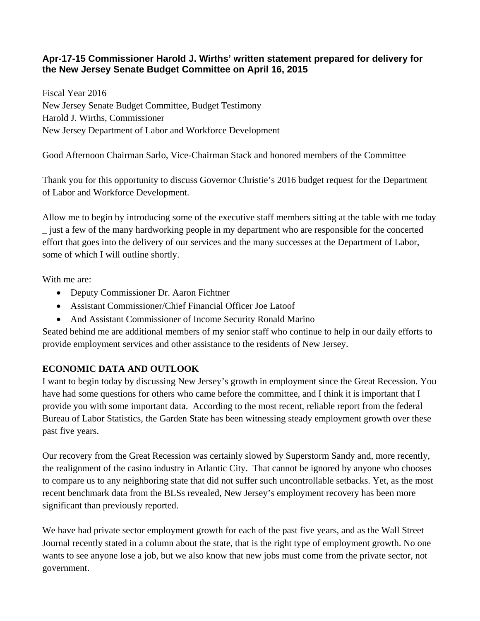## **Apr-17-15 Commissioner Harold J. Wirths' written statement prepared for delivery for the New Jersey Senate Budget Committee on April 16, 2015**

Fiscal Year 2016 New Jersey Senate Budget Committee, Budget Testimony Harold J. Wirths, Commissioner New Jersey Department of Labor and Workforce Development

Good Afternoon Chairman Sarlo, Vice-Chairman Stack and honored members of the Committee

Thank you for this opportunity to discuss Governor Christie's 2016 budget request for the Department of Labor and Workforce Development.

Allow me to begin by introducing some of the executive staff members sitting at the table with me today \_ just a few of the many hardworking people in my department who are responsible for the concerted effort that goes into the delivery of our services and the many successes at the Department of Labor, some of which I will outline shortly.

With me are:

- Deputy Commissioner Dr. Aaron Fichtner
- Assistant Commissioner/Chief Financial Officer Joe Latoof
- And Assistant Commissioner of Income Security Ronald Marino

Seated behind me are additional members of my senior staff who continue to help in our daily efforts to provide employment services and other assistance to the residents of New Jersey.

## **ECONOMIC DATA AND OUTLOOK**

I want to begin today by discussing New Jersey's growth in employment since the Great Recession. You have had some questions for others who came before the committee, and I think it is important that I provide you with some important data. According to the most recent, reliable report from the federal Bureau of Labor Statistics, the Garden State has been witnessing steady employment growth over these past five years.

Our recovery from the Great Recession was certainly slowed by Superstorm Sandy and, more recently, the realignment of the casino industry in Atlantic City. That cannot be ignored by anyone who chooses to compare us to any neighboring state that did not suffer such uncontrollable setbacks. Yet, as the most recent benchmark data from the BLSs revealed, New Jersey's employment recovery has been more significant than previously reported.

We have had private sector employment growth for each of the past five years, and as the Wall Street Journal recently stated in a column about the state, that is the right type of employment growth. No one wants to see anyone lose a job, but we also know that new jobs must come from the private sector, not government.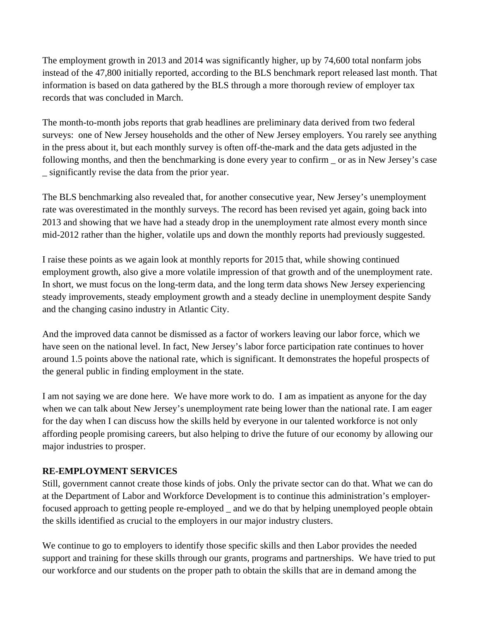The employment growth in 2013 and 2014 was significantly higher, up by 74,600 total nonfarm jobs instead of the 47,800 initially reported, according to the BLS benchmark report released last month. That information is based on data gathered by the BLS through a more thorough review of employer tax records that was concluded in March.

The month-to-month jobs reports that grab headlines are preliminary data derived from two federal surveys: one of New Jersey households and the other of New Jersey employers. You rarely see anything in the press about it, but each monthly survey is often off-the-mark and the data gets adjusted in the following months, and then the benchmarking is done every year to confirm or as in New Jersey's case \_ significantly revise the data from the prior year.

The BLS benchmarking also revealed that, for another consecutive year, New Jersey's unemployment rate was overestimated in the monthly surveys. The record has been revised yet again, going back into 2013 and showing that we have had a steady drop in the unemployment rate almost every month since mid-2012 rather than the higher, volatile ups and down the monthly reports had previously suggested.

I raise these points as we again look at monthly reports for 2015 that, while showing continued employment growth, also give a more volatile impression of that growth and of the unemployment rate. In short, we must focus on the long-term data, and the long term data shows New Jersey experiencing steady improvements, steady employment growth and a steady decline in unemployment despite Sandy and the changing casino industry in Atlantic City.

And the improved data cannot be dismissed as a factor of workers leaving our labor force, which we have seen on the national level. In fact, New Jersey's labor force participation rate continues to hover around 1.5 points above the national rate, which is significant. It demonstrates the hopeful prospects of the general public in finding employment in the state.

I am not saying we are done here. We have more work to do. I am as impatient as anyone for the day when we can talk about New Jersey's unemployment rate being lower than the national rate. I am eager for the day when I can discuss how the skills held by everyone in our talented workforce is not only affording people promising careers, but also helping to drive the future of our economy by allowing our major industries to prosper.

#### **RE-EMPLOYMENT SERVICES**

Still, government cannot create those kinds of jobs. Only the private sector can do that. What we can do at the Department of Labor and Workforce Development is to continue this administration's employerfocused approach to getting people re-employed \_ and we do that by helping unemployed people obtain the skills identified as crucial to the employers in our major industry clusters.

We continue to go to employers to identify those specific skills and then Labor provides the needed support and training for these skills through our grants, programs and partnerships. We have tried to put our workforce and our students on the proper path to obtain the skills that are in demand among the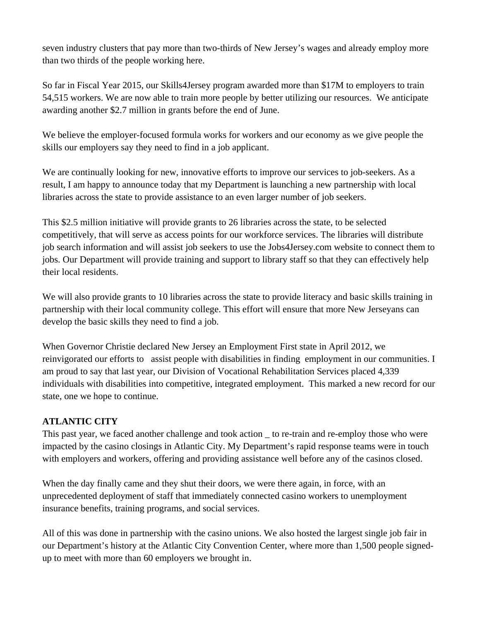seven industry clusters that pay more than two-thirds of New Jersey's wages and already employ more than two thirds of the people working here.

So far in Fiscal Year 2015, our Skills4Jersey program awarded more than \$17M to employers to train 54,515 workers. We are now able to train more people by better utilizing our resources. We anticipate awarding another \$2.7 million in grants before the end of June.

We believe the employer-focused formula works for workers and our economy as we give people the skills our employers say they need to find in a job applicant.

We are continually looking for new, innovative efforts to improve our services to job-seekers. As a result, I am happy to announce today that my Department is launching a new partnership with local libraries across the state to provide assistance to an even larger number of job seekers.

This \$2.5 million initiative will provide grants to 26 libraries across the state, to be selected competitively, that will serve as access points for our workforce services. The libraries will distribute job search information and will assist job seekers to use the Jobs4Jersey.com website to connect them to jobs. Our Department will provide training and support to library staff so that they can effectively help their local residents.

We will also provide grants to 10 libraries across the state to provide literacy and basic skills training in partnership with their local community college. This effort will ensure that more New Jerseyans can develop the basic skills they need to find a job.

When Governor Christie declared New Jersey an Employment First state in April 2012, we reinvigorated our efforts to assist people with disabilities in finding employment in our communities. I am proud to say that last year, our Division of Vocational Rehabilitation Services placed 4,339 individuals with disabilities into competitive, integrated employment. This marked a new record for our state, one we hope to continue.

## **ATLANTIC CITY**

This past year, we faced another challenge and took action \_ to re-train and re-employ those who were impacted by the casino closings in Atlantic City. My Department's rapid response teams were in touch with employers and workers, offering and providing assistance well before any of the casinos closed.

When the day finally came and they shut their doors, we were there again, in force, with an unprecedented deployment of staff that immediately connected casino workers to unemployment insurance benefits, training programs, and social services.

All of this was done in partnership with the casino unions. We also hosted the largest single job fair in our Department's history at the Atlantic City Convention Center, where more than 1,500 people signedup to meet with more than 60 employers we brought in.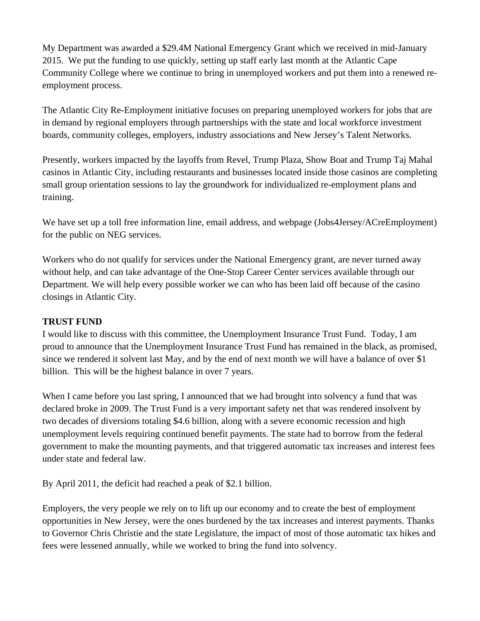My Department was awarded a \$29.4M National Emergency Grant which we received in mid-January 2015. We put the funding to use quickly, setting up staff early last month at the Atlantic Cape Community College where we continue to bring in unemployed workers and put them into a renewed reemployment process.

The Atlantic City Re-Employment initiative focuses on preparing unemployed workers for jobs that are in demand by regional employers through partnerships with the state and local workforce investment boards, community colleges, employers, industry associations and New Jersey's Talent Networks.

Presently, workers impacted by the layoffs from Revel, Trump Plaza, Show Boat and Trump Taj Mahal casinos in Atlantic City, including restaurants and businesses located inside those casinos are completing small group orientation sessions to lay the groundwork for individualized re-employment plans and training.

We have set up a toll free information line, email address, and webpage (Jobs4Jersey/ACreEmployment) for the public on NEG services.

Workers who do not qualify for services under the National Emergency grant, are never turned away without help, and can take advantage of the One-Stop Career Center services available through our Department. We will help every possible worker we can who has been laid off because of the casino closings in Atlantic City.

## **TRUST FUND**

I would like to discuss with this committee, the Unemployment Insurance Trust Fund. Today, I am proud to announce that the Unemployment Insurance Trust Fund has remained in the black, as promised, since we rendered it solvent last May, and by the end of next month we will have a balance of over \$1 billion. This will be the highest balance in over 7 years.

When I came before you last spring, I announced that we had brought into solvency a fund that was declared broke in 2009. The Trust Fund is a very important safety net that was rendered insolvent by two decades of diversions totaling \$4.6 billion, along with a severe economic recession and high unemployment levels requiring continued benefit payments. The state had to borrow from the federal government to make the mounting payments, and that triggered automatic tax increases and interest fees under state and federal law.

By April 2011, the deficit had reached a peak of \$2.1 billion.

Employers, the very people we rely on to lift up our economy and to create the best of employment opportunities in New Jersey, were the ones burdened by the tax increases and interest payments. Thanks to Governor Chris Christie and the state Legislature, the impact of most of those automatic tax hikes and fees were lessened annually, while we worked to bring the fund into solvency.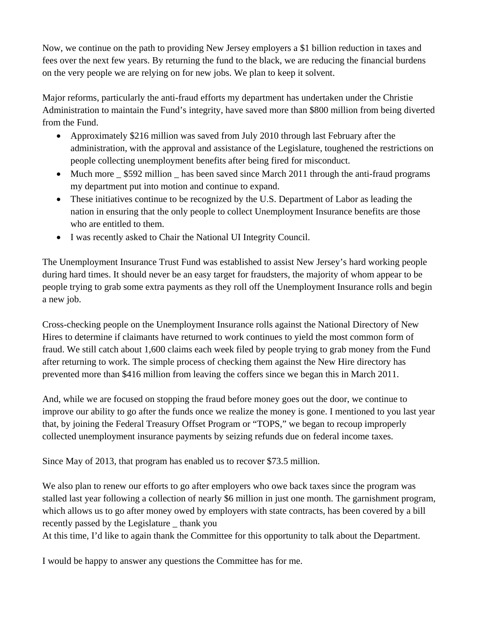Now, we continue on the path to providing New Jersey employers a \$1 billion reduction in taxes and fees over the next few years. By returning the fund to the black, we are reducing the financial burdens on the very people we are relying on for new jobs. We plan to keep it solvent.

Major reforms, particularly the anti-fraud efforts my department has undertaken under the Christie Administration to maintain the Fund's integrity, have saved more than \$800 million from being diverted from the Fund.

- Approximately \$216 million was saved from July 2010 through last February after the administration, with the approval and assistance of the Legislature, toughened the restrictions on people collecting unemployment benefits after being fired for misconduct.
- Much more \_ \$592 million \_ has been saved since March 2011 through the anti-fraud programs my department put into motion and continue to expand.
- These initiatives continue to be recognized by the U.S. Department of Labor as leading the nation in ensuring that the only people to collect Unemployment Insurance benefits are those who are entitled to them.
- I was recently asked to Chair the National UI Integrity Council.

The Unemployment Insurance Trust Fund was established to assist New Jersey's hard working people during hard times. It should never be an easy target for fraudsters, the majority of whom appear to be people trying to grab some extra payments as they roll off the Unemployment Insurance rolls and begin a new job.

Cross-checking people on the Unemployment Insurance rolls against the National Directory of New Hires to determine if claimants have returned to work continues to yield the most common form of fraud. We still catch about 1,600 claims each week filed by people trying to grab money from the Fund after returning to work. The simple process of checking them against the New Hire directory has prevented more than \$416 million from leaving the coffers since we began this in March 2011.

And, while we are focused on stopping the fraud before money goes out the door, we continue to improve our ability to go after the funds once we realize the money is gone. I mentioned to you last year that, by joining the Federal Treasury Offset Program or "TOPS," we began to recoup improperly collected unemployment insurance payments by seizing refunds due on federal income taxes.

Since May of 2013, that program has enabled us to recover \$73.5 million.

We also plan to renew our efforts to go after employers who owe back taxes since the program was stalled last year following a collection of nearly \$6 million in just one month. The garnishment program, which allows us to go after money owed by employers with state contracts, has been covered by a bill recently passed by the Legislature \_ thank you

At this time, I'd like to again thank the Committee for this opportunity to talk about the Department.

I would be happy to answer any questions the Committee has for me.